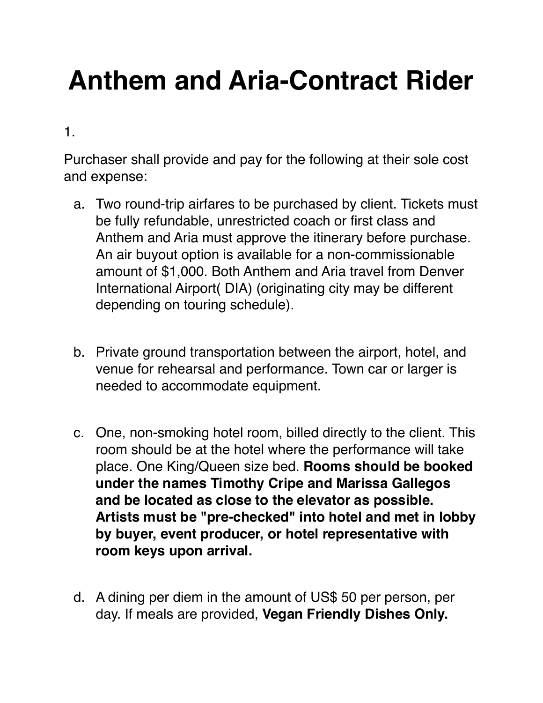## **Anthem and Aria-Contract Rider**

1.

Purchaser shall provide and pay for the following at their sole cost and expense:

- a. Two round-trip airfares to be purchased by client. Tickets must be fully refundable, unrestricted coach or first class and Anthem and Aria must approve the itinerary before purchase. An air buyout option is available for a non-commissionable amount of \$1,000. Both Anthem and Aria travel from Denver International Airport( DIA) (originating city may be different depending on touring schedule).
- b. Private ground transportation between the airport, hotel, and venue for rehearsal and performance. Town car or larger is needed to accommodate equipment.
- c. One, non-smoking hotel room, billed directly to the client. This room should be at the hotel where the performance will take place. One King/Queen size bed. **Rooms should be booked under the names Timothy Cripe and Marissa Gallegos and be located as close to the elevator as possible. Artists must be "pre-checked" into hotel and met in lobby by buyer, event producer, or hotel representative with room keys upon arrival.**
- d. A dining per diem in the amount of US\$ 50 per person, per day. If meals are provided, **Vegan Friendly Dishes Only.**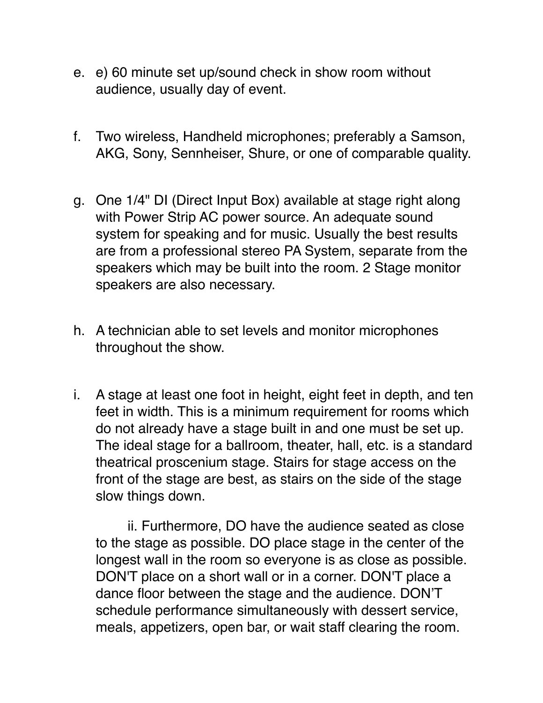- e. e) 60 minute set up/sound check in show room without audience, usually day of event.
- f. Two wireless, Handheld microphones; preferably a Samson, AKG, Sony, Sennheiser, Shure, or one of comparable quality.
- g. One 1/4" DI (Direct Input Box) available at stage right along with Power Strip AC power source. An adequate sound system for speaking and for music. Usually the best results are from a professional stereo PA System, separate from the speakers which may be built into the room. 2 Stage monitor speakers are also necessary.
- h. A technician able to set levels and monitor microphones throughout the show.
- i. A stage at least one foot in height, eight feet in depth, and ten feet in width. This is a minimum requirement for rooms which do not already have a stage built in and one must be set up. The ideal stage for a ballroom, theater, hall, etc. is a standard theatrical proscenium stage. Stairs for stage access on the front of the stage are best, as stairs on the side of the stage slow things down.

ii. Furthermore, DO have the audience seated as close to the stage as possible. DO place stage in the center of the longest wall in the room so everyone is as close as possible. DON'T place on a short wall or in a corner. DON'T place a dance floor between the stage and the audience. DON'T schedule performance simultaneously with dessert service, meals, appetizers, open bar, or wait staff clearing the room.